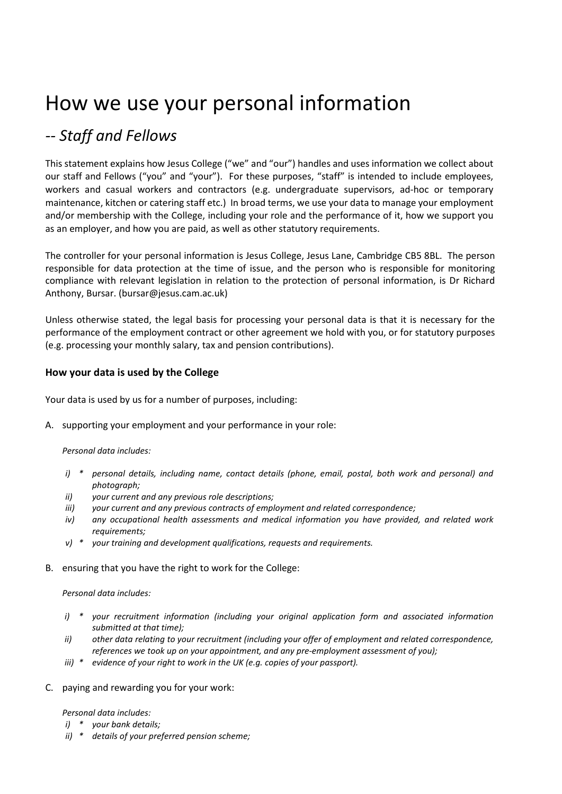# How we use your personal information

# *-- Staff and Fellows*

This statement explains how Jesus College ("we" and "our") handles and uses information we collect about our staff and Fellows ("you" and "your"). For these purposes, "staff" is intended to include employees, workers and casual workers and contractors (e.g. undergraduate supervisors, ad-hoc or temporary maintenance, kitchen or catering staff etc.) In broad terms, we use your data to manage your employment and/or membership with the College, including your role and the performance of it, how we support you as an employer, and how you are paid, as well as other statutory requirements.

The controller for your personal information is Jesus College, Jesus Lane, Cambridge CB5 8BL. The person responsible for data protection at the time of issue, and the person who is responsible for monitoring compliance with relevant legislation in relation to the protection of personal information, is Dr Richard Anthony, Bursar. (bursar@jesus.cam.ac.uk)

Unless otherwise stated, the legal basis for processing your personal data is that it is necessary for the performance of the employment contract or other agreement we hold with you, or for statutory purposes (e.g. processing your monthly salary, tax and pension contributions).

# **How your data is used by the College**

Your data is used by us for a number of purposes, including:

A. supporting your employment and your performance in your role:

#### *Personal data includes:*

- *i) \* personal details, including name, contact details (phone, email, postal, both work and personal) and photograph;*
- *ii) your current and any previous role descriptions;*
- *iii) your current and any previous contracts of employment and related correspondence;*
- *iv) any occupational health assessments and medical information you have provided, and related work requirements;*
- *v) \* your training and development qualifications, requests and requirements.*
- B. ensuring that you have the right to work for the College:

#### *Personal data includes:*

- *i) \* your recruitment information (including your original application form and associated information submitted at that time);*
- *ii) other data relating to your recruitment (including your offer of employment and related correspondence, references we took up on your appointment, and any pre-employment assessment of you);*
- *iii) \* evidence of your right to work in the UK (e.g. copies of your passport).*
- C. paying and rewarding you for your work:

*Personal data includes:* 

- *i) \* your bank details;*
- *ii) \* details of your preferred pension scheme;*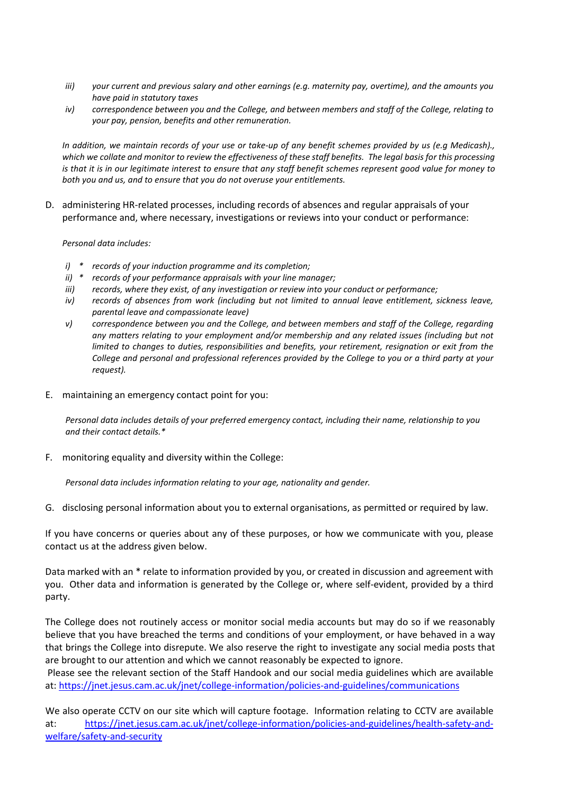- *iii) your current and previous salary and other earnings (e.g. maternity pay, overtime), and the amounts you have paid in statutory taxes*
- *iv) correspondence between you and the College, and between members and staff of the College, relating to your pay, pension, benefits and other remuneration.*

*In addition, we maintain records of your use or take-up of any benefit schemes provided by us (e.g Medicash)., which we collate and monitor to review the effectiveness of these staff benefits. The legal basis for this processing is that it is in our legitimate interest to ensure that any staff benefit schemes represent good value for money to both you and us, and to ensure that you do not overuse your entitlements.*

D. administering HR-related processes, including records of absences and regular appraisals of your performance and, where necessary, investigations or reviews into your conduct or performance:

*Personal data includes:* 

- *i) \* records of your induction programme and its completion;*
- *ii) \* records of your performance appraisals with your line manager;*
- *iii) records, where they exist, of any investigation or review into your conduct or performance;*
- *iv) records of absences from work (including but not limited to annual leave entitlement, sickness leave, parental leave and compassionate leave)*
- *v) correspondence between you and the College, and between members and staff of the College, regarding any matters relating to your employment and/or membership and any related issues (including but not limited to changes to duties, responsibilities and benefits, your retirement, resignation or exit from the College and personal and professional references provided by the College to you or a third party at your request).*
- E. maintaining an emergency contact point for you:

*Personal data includes details of your preferred emergency contact, including their name, relationship to you and their contact details.\**

F. monitoring equality and diversity within the College:

*Personal data includes information relating to your age, nationality and gender.*

G. disclosing personal information about you to external organisations, as permitted or required by law.

If you have concerns or queries about any of these purposes, or how we communicate with you, please contact us at the address given below.

Data marked with an \* relate to information provided by you, or created in discussion and agreement with you. Other data and information is generated by the College or, where self-evident, provided by a third party.

The College does not routinely access or monitor social media accounts but may do so if we reasonably believe that you have breached the terms and conditions of your employment, or have behaved in a way that brings the College into disrepute. We also reserve the right to investigate any social media posts that are brought to our attention and which we cannot reasonably be expected to ignore.

Please see the relevant section of the Staff Handook and our social media guidelines which are available at: <https://jnet.jesus.cam.ac.uk/jnet/college-information/policies-and-guidelines/communications>

We also operate CCTV on our site which will capture footage. Information relating to CCTV are available at: [https://jnet.jesus.cam.ac.uk/jnet/college-information/policies-and-guidelines/health-safety-and](https://jnet.jesus.cam.ac.uk/jnet/college-information/policies-and-guidelines/health-safety-and-welfare/safety-and-security)[welfare/safety-and-security](https://jnet.jesus.cam.ac.uk/jnet/college-information/policies-and-guidelines/health-safety-and-welfare/safety-and-security)